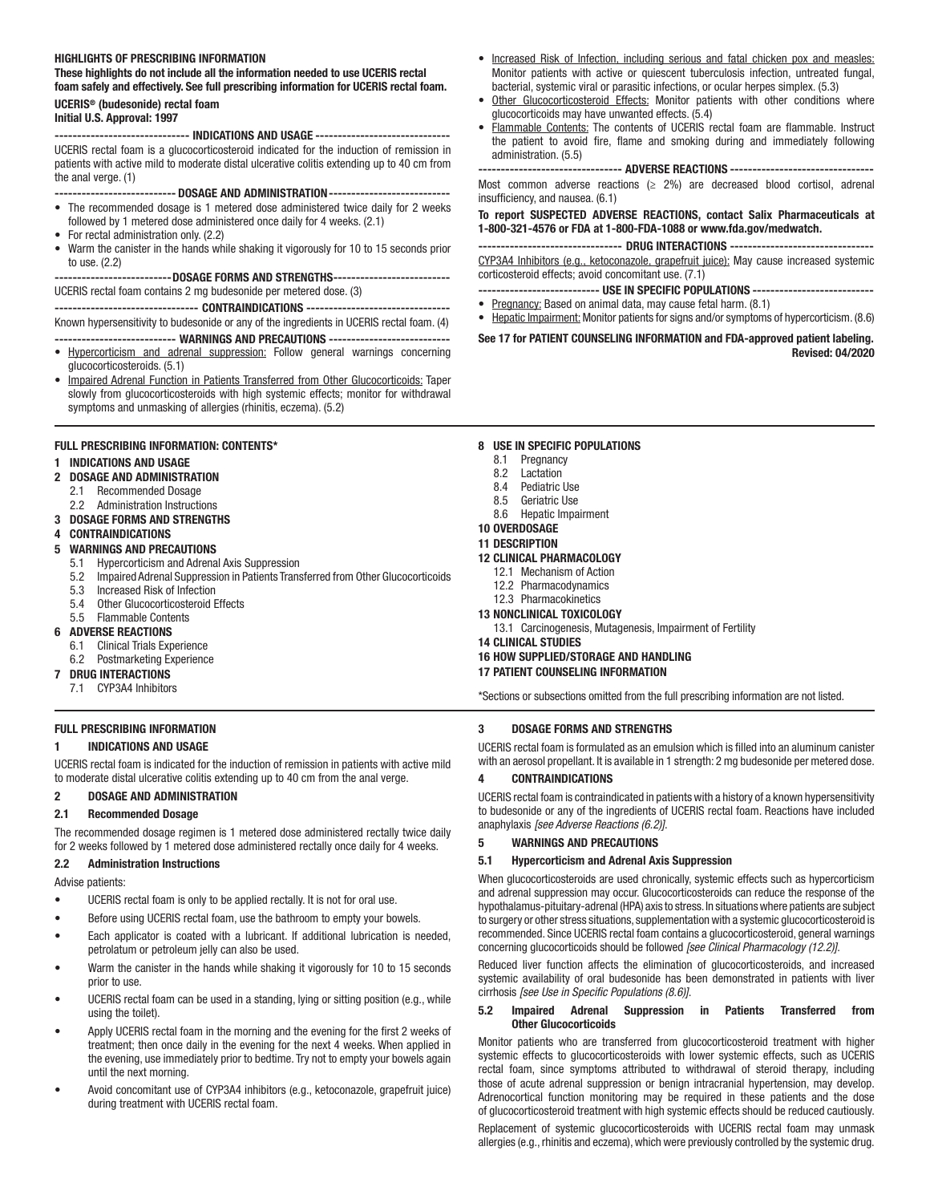#### HIGHLIGHTS OF PRESCRIBING INFORMATION

These highlights do not include all the information needed to use UCERIS rectal foam safely and effectively. See full prescribing information for UCERIS rectal foam. UCERIS® (budesonide) rectal foam

## Initial U.S. Approval: 1997

------------------------------ INDICATIONS AND USAGE ------------------------------ UCERIS rectal foam is a glucocorticosteroid indicated for the induction of remission in patients with active mild to moderate distal ulcerative colitis extending up to 40 cm from the anal verge. (1)

--------------------------- DOSAGE AND ADMINISTRATION---------------------------

- The recommended dosage is 1 metered dose administered twice daily for 2 weeks followed by 1 metered dose administered once daily for 4 weeks. (2.1)
- For rectal administration only. (2.2)
- Warm the canister in the hands while shaking it vigorously for 10 to 15 seconds prior to use. (2.2)

## --------------------------DOSAGE FORMS AND STRENGTHS--------------------------

UCERIS rectal foam contains 2 mg budesonide per metered dose. (3)

-------------------------------- CONTRAINDICATIONS --------------------------------

Known hypersensitivity to budesonide or any of the ingredients in UCERIS rectal foam. (4)

- ------------------------ WARNINGS AND PRECAUTIONS ------------------------------• Hypercorticism and adrenal suppression: Follow general warnings concerning glucocorticosteroids. (5.1)
- Impaired Adrenal Function in Patients Transferred from Other Glucocorticoids: Taper slowly from glucocorticosteroids with high systemic effects; monitor for withdrawal symptoms and unmasking of allergies (rhinitis, eczema). (5.2)

#### FULL PRESCRIBING INFORMATION: CONTENTS\*

#### 1 INDICATIONS AND USAGE

- **2 DOSAGE AND ADMINISTRATION**<br>2.1 Recommended Dosage
- Recommended Dosage
- 2.2 Administration Instructions
- 3 DOSAGE FORMS AND STRENGTHS
- 4 CONTRAINDICATIONS

#### 5 WARNINGS AND PRECAUTIONS

- 5.1 Hypercorticism and Adrenal Axis Suppression
- 5.2 Impaired Adrenal Suppression in Patients Transferred from Other Glucocorticoids
- 5.3 Increased Risk of Infection
- 5.4 Other Glucocorticosteroid Effects
- 5.5 Flammable Contents

#### 6 ADVERSE REACTIONS

- 6.1 Clinical Trials Experience
- 6.2 Postmarketing Experience
- 7 DRUG INTERACTIONS
	- 7.1 CYP3A4 Inhibitors

## FULL PRESCRIBING INFORMATION

#### 1 INDICATIONS AND USAGE

UCERIS rectal foam is indicated for the induction of remission in patients with active mild to moderate distal ulcerative colitis extending up to 40 cm from the anal verge.

#### 2 DOSAGE AND ADMINISTRATION

#### 2.1 Recommended Dosage

The recommended dosage regimen is 1 metered dose administered rectally twice daily for 2 weeks followed by 1 metered dose administered rectally once daily for 4 weeks.

#### 2.2 Administration Instructions

Advise patients:

- UCERIS rectal foam is only to be applied rectally. It is not for oral use.
- Before using UCERIS rectal foam, use the bathroom to empty your bowels.
- Each applicator is coated with a lubricant. If additional lubrication is needed, petrolatum or petroleum jelly can also be used.
- Warm the canister in the hands while shaking it vigorously for 10 to 15 seconds prior to use.
- UCERIS rectal foam can be used in a standing, lying or sitting position (e.g., while using the toilet).
- Apply UCERIS rectal foam in the morning and the evening for the first 2 weeks of treatment; then once daily in the evening for the next 4 weeks. When applied in the evening, use immediately prior to bedtime. Try not to empty your bowels again until the next morning.
- Avoid concomitant use of CYP3A4 inhibitors (e.g., ketoconazole, grapefruit juice) during treatment with UCERIS rectal foam.
- Increased Risk of Infection, including serious and fatal chicken pox and measles: Monitor patients with active or quiescent tuberculosis infection, untreated fungal, bacterial, systemic viral or parasitic infections, or ocular herpes simplex. (5.3)
- Other Glucocorticosteroid Effects: Monitor patients with other conditions where glucocorticoids may have unwanted effects. (5.4)
- Flammable Contents: The contents of UCERIS rectal foam are flammable. Instruct the patient to avoid fire, flame and smoking during and immediately following administration. (5.5)

------------------------------ ADVERSE REACTIONS ------------------------------

Most common adverse reactions ( $\geq$  2%) are decreased blood cortisol, adrenal insufficiency, and nausea. (6.1)

#### To report SUSPECTED ADVERSE REACTIONS, contact Salix Pharmaceuticals at 1-800-321-4576 or FDA at 1-800-FDA-1088 or www.fda.gov/medwatch.

-------------------------------- DRUG INTERACTIONS -------------------------------- CYP3A4 Inhibitors (e.g., ketoconazole, grapefruit juice): May cause increased systemic corticosteroid effects; avoid concomitant use. (7.1)

--------------------------- USE IN SPECIFIC POPULATIONS ---------------------------

- Pregnancy: Based on animal data, may cause fetal harm. (8.1)
- Hepatic Impairment: Monitor patients for signs and/or symptoms of hypercorticism. (8.6)

#### See 17 for PATIENT COUNSELING INFORMATION and FDA-approved patient labeling. Revised: 04/2020

#### 8 USE IN SPECIFIC POPULATIONS

- 8.1 Pregnancy
- 8.2 Lactation

## 8.4 Pediatric Use

- 8.5 Geriatric Use
- 8.6 Hepatic Impairment

## 10 OVERDOSAGE

#### 11 DESCRIPTION 12 CLINICAL PHARMACOLOGY

- 12.1 Mechanism of Action 12.2 Pharmacodynamics
- 12.3 Pharmacokinetics
- 13 NONCLINICAL TOXICOLOGY
	- 13.1 Carcinogenesis, Mutagenesis, Impairment of Fertility
- 14 CLINICAL STUDIES
- 16 HOW SUPPLIED/STORAGE AND HANDLING

## 17 PATIENT COUNSELING INFORMATION

\*Sections or subsections omitted from the full prescribing information are not listed.

#### 3 DOSAGE FORMS AND STRENGTHS

UCERIS rectal foam is formulated as an emulsion which is filled into an aluminum canister with an aerosol propellant. It is available in 1 strength: 2 mg budesonide per metered dose.

## 4 CONTRAINDICATIONS

UCERIS rectal foam is contraindicated in patients with a history of a known hypersensitivity to budesonide or any of the ingredients of UCERIS rectal foam. Reactions have included anaphylaxis *[see Adverse Reactions (6.2)]*.

#### 5 WARNINGS AND PRECAUTIONS

#### 5.1 Hypercorticism and Adrenal Axis Suppression

When glucocorticosteroids are used chronically, systemic effects such as hypercorticism and adrenal suppression may occur. Glucocorticosteroids can reduce the response of the hypothalamus-pituitary-adrenal (HPA) axis to stress. In situations where patients are subject to surgery or other stress situations, supplementation with a systemic glucocorticosteroid is recommended. Since UCERIS rectal foam contains a glucocorticosteroid, general warnings concerning glucocorticoids should be followed *[see Clinical Pharmacology (12.2)]*.

Reduced liver function affects the elimination of glucocorticosteroids, and increased systemic availability of oral budesonide has been demonstrated in patients with liver cirrhosis *[see Use in Specific Populations (8.6)]*.

#### 5.2 Impaired Adrenal Suppression in Patients Transferred from Other Glucocorticoids

Monitor patients who are transferred from glucocorticosteroid treatment with higher systemic effects to glucocorticosteroids with lower systemic effects, such as UCERIS rectal foam, since symptoms attributed to withdrawal of steroid therapy, including those of acute adrenal suppression or benign intracranial hypertension, may develop. Adrenocortical function monitoring may be required in these patients and the dose of glucocorticosteroid treatment with high systemic effects should be reduced cautiously. Replacement of systemic glucocorticosteroids with UCERIS rectal foam may unmask allergies (e.g., rhinitis and eczema), which were previously controlled by the systemic drug.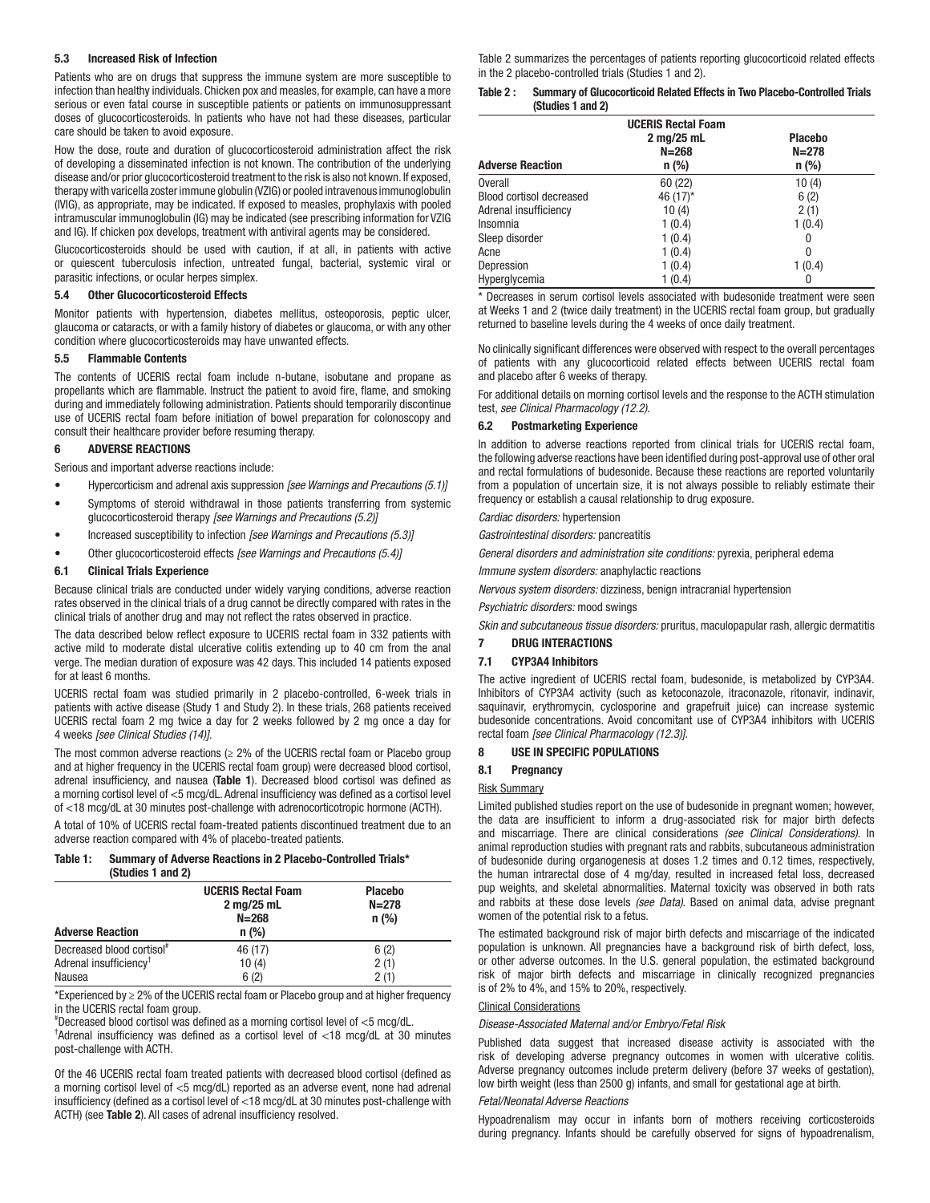#### 5.3 Increased Risk of Infection

Patients who are on drugs that suppress the immune system are more susceptible to infection than healthy individuals. Chicken pox and measles, for example, can have a more serious or even fatal course in susceptible patients or patients on immunosuppressant doses of glucocorticosteroids. In patients who have not had these diseases, particular care should be taken to avoid exposure.

How the dose, route and duration of glucocorticosteroid administration affect the risk of developing a disseminated infection is not known. The contribution of the underlying disease and/or prior glucocorticosteroid treatment to the risk is also not known. If exposed, therapy with varicella zoster immune globulin (VZIG) or pooled intravenous immunoglobulin (IVIG), as appropriate, may be indicated. If exposed to measles, prophylaxis with pooled intramuscular immunoglobulin (IG) may be indicated (see prescribing information for VZIG and IG). If chicken pox develops, treatment with antiviral agents may be considered.

Glucocorticosteroids should be used with caution, if at all, in patients with active or quiescent tuberculosis infection, untreated fungal, bacterial, systemic viral or parasitic infections, or ocular herpes simplex.

#### 5.4 Other Glucocorticosteroid Effects

Monitor patients with hypertension, diabetes mellitus, osteoporosis, peptic ulcer, glaucoma or cataracts, or with a family history of diabetes or glaucoma, or with any other condition where glucocorticosteroids may have unwanted effects.

#### 5.5 Flammable Contents

The contents of UCERIS rectal foam include n-butane, isobutane and propane as propellants which are flammable. Instruct the patient to avoid fire, flame, and smoking during and immediately following administration. Patients should temporarily discontinue use of UCERIS rectal foam before initiation of bowel preparation for colonoscopy and consult their healthcare provider before resuming therapy.

#### 6 ADVERSE REACTIONS

Serious and important adverse reactions include:

- Hypercorticism and adrenal axis suppression *[see Warnings and Precautions (5.1)]*
- Symptoms of steroid withdrawal in those patients transferring from systemic glucocorticosteroid therapy *[see Warnings and Precautions (5.2)]*
- Increased susceptibility to infection *[see Warnings and Precautions (5.3)]*
- Other glucocorticosteroid effects *[see Warnings and Precautions (5.4)]*

#### 6.1 Clinical Trials Experience

Because clinical trials are conducted under widely varying conditions, adverse reaction rates observed in the clinical trials of a drug cannot be directly compared with rates in the clinical trials of another drug and may not reflect the rates observed in practice.

The data described below reflect exposure to UCERIS rectal foam in 332 patients with active mild to moderate distal ulcerative colitis extending up to 40 cm from the anal verge. The median duration of exposure was 42 days. This included 14 patients exposed for at least 6 months.

UCERIS rectal foam was studied primarily in 2 placebo-controlled, 6-week trials in patients with active disease (Study 1 and Study 2). In these trials, 268 patients received UCERIS rectal foam 2 mg twice a day for 2 weeks followed by 2 mg once a day for 4 weeks *[see Clinical Studies (14)]*.

The most common adverse reactions ( $\geq$  2% of the UCERIS rectal foam or Placebo group and at higher frequency in the UCERIS rectal foam group) were decreased blood cortisol, adrenal insufficiency, and nausea (Table 1). Decreased blood cortisol was defined as a morning cortisol level of <5 mcg/dL. Adrenal insufficiency was defined as a cortisol level of <18 mcg/dL at 30 minutes post-challenge with adrenocorticotropic hormone (ACTH).

A total of 10% of UCERIS rectal foam-treated patients discontinued treatment due to an adverse reaction compared with 4% of placebo-treated patients.

#### Table 1: Summary of Adverse Reactions in 2 Placebo-Controlled Trials\* (Studies 1 and 2)

| <b>Adverse Reaction</b>               | <b>UCERIS Rectal Foam</b><br>2 mg/25 mL<br>$N = 268$<br>$n$ (%) | <b>Placebo</b><br>$N = 278$<br>$n$ (%) |  |
|---------------------------------------|-----------------------------------------------------------------|----------------------------------------|--|
| Decreased blood cortisol <sup>#</sup> | 46 (17)                                                         | 6(2)                                   |  |
| Adrenal insufficiency <sup>†</sup>    | 10(4)                                                           | 2(1)                                   |  |
| Nausea                                | 6(2)                                                            | 2(1)                                   |  |

\*Experienced by ≥ 2% of the UCERIS rectal foam or Placebo group and at higher frequency in the UCERIS rectal foam group.

# Decreased blood cortisol was defined as a morning cortisol level of <5 mcg/dL.

† Adrenal insufficiency was defined as a cortisol level of <18 mcg/dL at 30 minutes post-challenge with ACTH.

Of the 46 UCERIS rectal foam treated patients with decreased blood cortisol (defined as a morning cortisol level of <5 mcg/dL) reported as an adverse event, none had adrenal insufficiency (defined as a cortisol level of <18 mcg/dL at 30 minutes post-challenge with ACTH) (see Table 2). All cases of adrenal insufficiency resolved.

Table 2 summarizes the percentages of patients reporting glucocorticoid related effects in the 2 placebo-controlled trials (Studies 1 and 2).

| Table 2 : | <b>Summary of Glucocorticoid Related Effects in Two Placebo-Controlled Trials</b> |
|-----------|-----------------------------------------------------------------------------------|
|           | (Studies 1 and 2)                                                                 |

| <b>Adverse Reaction</b>         | <b>UCERIS Rectal Foam</b><br>2 mg/25 mL<br>$N = 268$<br>$n$ (%) | <b>Placebo</b><br>$N = 278$<br>$n$ (%) |  |  |
|---------------------------------|-----------------------------------------------------------------|----------------------------------------|--|--|
| <b>Overall</b>                  | 60 (22)                                                         | 10(4)                                  |  |  |
| <b>Blood cortisol decreased</b> | 46 $(17)^*$                                                     | 6(2)                                   |  |  |
| Adrenal insufficiency           | 10(4)                                                           | 2(1)                                   |  |  |
| Insomnia                        | 1(0.4)                                                          | 1(0.4)                                 |  |  |
| Sleep disorder                  | 1(0.4)                                                          | 0                                      |  |  |
| Acne                            | 1(0.4)                                                          | 0                                      |  |  |
| Depression                      | 1(0.4)                                                          | 1(0.4)                                 |  |  |
| Hyperglycemia                   | 1 (0.4)                                                         | 0                                      |  |  |

\* Decreases in serum cortisol levels associated with budesonide treatment were seen at Weeks 1 and 2 (twice daily treatment) in the UCERIS rectal foam group, but gradually returned to baseline levels during the 4 weeks of once daily treatment.

No clinically significant differences were observed with respect to the overall percentages of patients with any glucocorticoid related effects between UCERIS rectal foam and placebo after 6 weeks of therapy.

For additional details on morning cortisol levels and the response to the ACTH stimulation test, *see Clinical Pharmacology (12.2)*.

#### 6.2 Postmarketing Experience

In addition to adverse reactions reported from clinical trials for UCERIS rectal foam, the following adverse reactions have been identified during post-approval use of other oral and rectal formulations of budesonide. Because these reactions are reported voluntarily from a population of uncertain size, it is not always possible to reliably estimate their frequency or establish a causal relationship to drug exposure.

*Cardiac disorders:* hypertension

*Gastrointestinal disorders:* pancreatitis

*General disorders and administration site conditions:* pyrexia, peripheral edema

*Immune system disorders:* anaphylactic reactions

*Nervous system disorders:* dizziness, benign intracranial hypertension

*Psychiatric disorders:* mood swings

*Skin and subcutaneous tissue disorders:* pruritus, maculopapular rash, allergic dermatitis

# 7 DRUG INTERACTIONS

## 7.1 CYP3A4 Inhibitors

The active ingredient of UCERIS rectal foam, budesonide, is metabolized by CYP3A4. Inhibitors of CYP3A4 activity (such as ketoconazole, itraconazole, ritonavir, indinavir, saquinavir, erythromycin, cyclosporine and grapefruit juice) can increase systemic budesonide concentrations. Avoid concomitant use of CYP3A4 inhibitors with UCERIS rectal foam *[see Clinical Pharmacology (12.3)]*.

#### 8 USE IN SPECIFIC POPULATIONS

#### 8.1 Pregnancy

#### Risk Summary

Limited published studies report on the use of budesonide in pregnant women; however, the data are insufficient to inform a drug-associated risk for major birth defects and miscarriage. There are clinical considerations *(see Clinical Considerations)*. In animal reproduction studies with pregnant rats and rabbits, subcutaneous administration of budesonide during organogenesis at doses 1.2 times and 0.12 times, respectively, the human intrarectal dose of 4 mg/day, resulted in increased fetal loss, decreased pup weights, and skeletal abnormalities. Maternal toxicity was observed in both rats and rabbits at these dose levels *(see Data)*. Based on animal data, advise pregnant women of the potential risk to a fetus.

The estimated background risk of major birth defects and miscarriage of the indicated population is unknown. All pregnancies have a background risk of birth defect, loss, or other adverse outcomes. In the U.S. general population, the estimated background risk of major birth defects and miscarriage in clinically recognized pregnancies is of 2% to 4%, and 15% to 20%, respectively.

#### Clinical Considerations

#### *Disease-Associated Maternal and/or Embryo/Fetal Risk*

Published data suggest that increased disease activity is associated with the risk of developing adverse pregnancy outcomes in women with ulcerative colitis. Adverse pregnancy outcomes include preterm delivery (before 37 weeks of gestation), low birth weight (less than 2500 g) infants, and small for gestational age at birth.

#### *Fetal/Neonatal Adverse Reactions*

Hypoadrenalism may occur in infants born of mothers receiving corticosteroids during pregnancy. Infants should be carefully observed for signs of hypoadrenalism,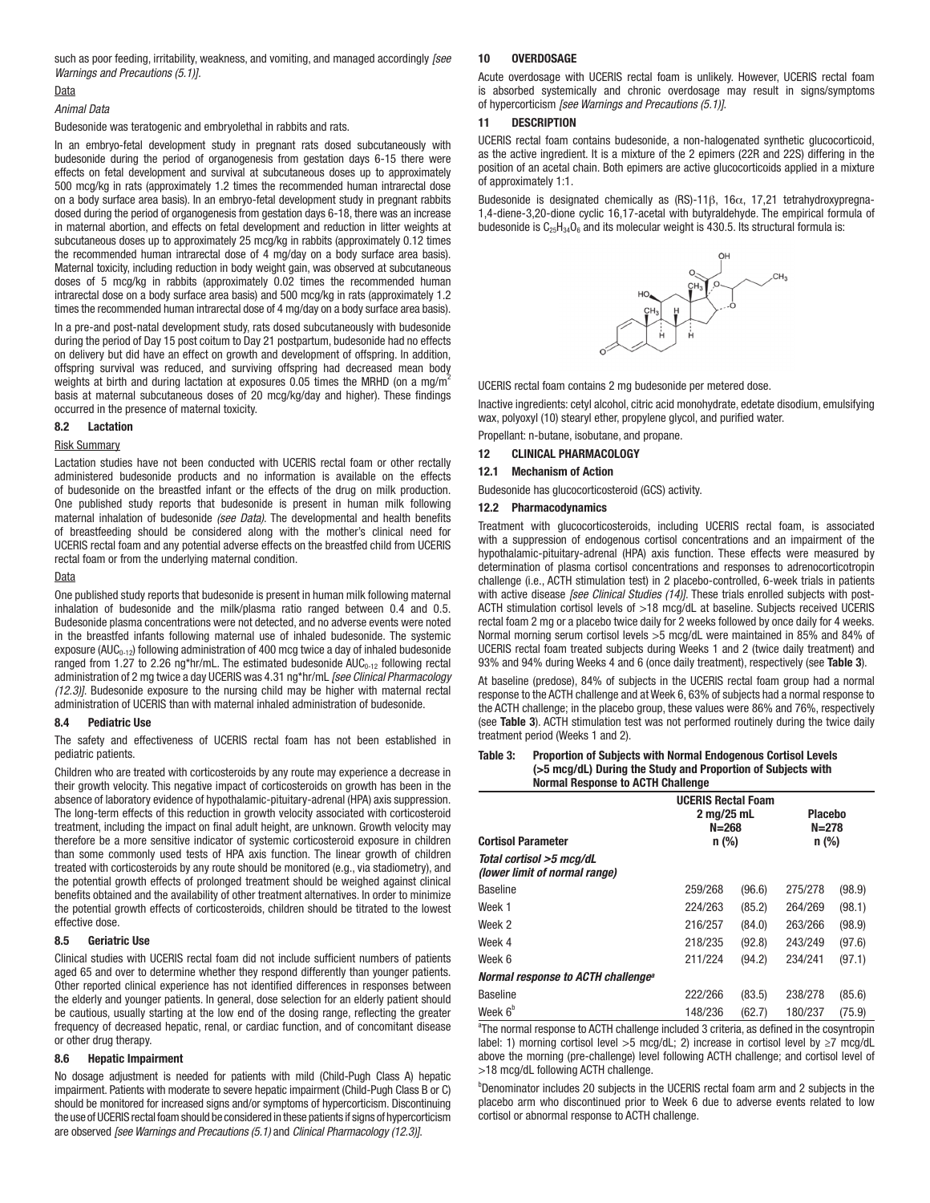such as poor feeding, irritability, weakness, and vomiting, and managed accordingly *[see Warnings and Precautions (5.1)].*

#### Data

#### *Animal Data*

Budesonide was teratogenic and embryolethal in rabbits and rats.

In an embryo-fetal development study in pregnant rats dosed subcutaneously with budesonide during the period of organogenesis from gestation days 6-15 there were effects on fetal development and survival at subcutaneous doses up to approximately 500 mcg/kg in rats (approximately 1.2 times the recommended human intrarectal dose on a body surface area basis). In an embryo-fetal development study in pregnant rabbits dosed during the period of organogenesis from gestation days 6-18, there was an increase in maternal abortion, and effects on fetal development and reduction in litter weights at subcutaneous doses up to approximately 25 mcg/kg in rabbits (approximately 0.12 times the recommended human intrarectal dose of 4 mg/day on a body surface area basis). Maternal toxicity, including reduction in body weight gain, was observed at subcutaneous doses of 5 mcg/kg in rabbits (approximately 0.02 times the recommended human intrarectal dose on a body surface area basis) and 500 mcg/kg in rats (approximately 1.2 times the recommended human intrarectal dose of 4 mg/day on a body surface area basis).

In a pre-and post-natal development study, rats dosed subcutaneously with budesonide during the period of Day 15 post coitum to Day 21 postpartum, budesonide had no effects on delivery but did have an effect on growth and development of offspring. In addition, offspring survival was reduced, and surviving offspring had decreased mean body weights at birth and during lactation at exposures 0.05 times the MRHD (on a mg/m<sup>2</sup> basis at maternal subcutaneous doses of 20 mcg/kg/day and higher). These findings occurred in the presence of maternal toxicity.

#### 8.2 Lactation

#### Risk Summary

Lactation studies have not been conducted with UCERIS rectal foam or other rectally administered budesonide products and no information is available on the effects of budesonide on the breastfed infant or the effects of the drug on milk production. One published study reports that budesonide is present in human milk following maternal inhalation of budesonide *(see Data)*. The developmental and health benefits of breastfeeding should be considered along with the mother's clinical need for UCERIS rectal foam and any potential adverse effects on the breastfed child from UCERIS rectal foam or from the underlying maternal condition.

#### Data

One published study reports that budesonide is present in human milk following maternal inhalation of budesonide and the milk/plasma ratio ranged between 0.4 and 0.5. Budesonide plasma concentrations were not detected, and no adverse events were noted in the breastfed infants following maternal use of inhaled budesonide. The systemic exposure (AUC<sub>0-12</sub>) following administration of 400 mcg twice a day of inhaled budesonide ranged from 1.27 to 2.26 ng\*hr/mL. The estimated budesonide  $AUC_{0-12}$  following rectal administration of 2 mg twice a day UCERIS was 4.31 ng\*hr/mL *[see Clinical Pharmacology (12.3)]*. Budesonide exposure to the nursing child may be higher with maternal rectal administration of UCERIS than with maternal inhaled administration of budesonide.

#### 8.4 Pediatric Use

The safety and effectiveness of UCERIS rectal foam has not been established in pediatric patients.

Children who are treated with corticosteroids by any route may experience a decrease in their growth velocity. This negative impact of corticosteroids on growth has been in the absence of laboratory evidence of hypothalamic-pituitary-adrenal (HPA) axis suppression. The long-term effects of this reduction in growth velocity associated with corticosteroid treatment, including the impact on final adult height, are unknown. Growth velocity may therefore be a more sensitive indicator of systemic corticosteroid exposure in children than some commonly used tests of HPA axis function. The linear growth of children treated with corticosteroids by any route should be monitored (e.g., via stadiometry), and the potential growth effects of prolonged treatment should be weighed against clinical benefits obtained and the availability of other treatment alternatives. In order to minimize the potential growth effects of corticosteroids, children should be titrated to the lowest effective dose.

#### 8.5 Geriatric Use

Clinical studies with UCERIS rectal foam did not include sufficient numbers of patients aged 65 and over to determine whether they respond differently than younger patients. Other reported clinical experience has not identified differences in responses between the elderly and younger patients. In general, dose selection for an elderly patient should be cautious, usually starting at the low end of the dosing range, reflecting the greater frequency of decreased hepatic, renal, or cardiac function, and of concomitant disease or other drug therapy.

#### 8.6 Hepatic Impairment

No dosage adjustment is needed for patients with mild (Child-Pugh Class A) hepatic impairment. Patients with moderate to severe hepatic impairment (Child-Pugh Class B or C) should be monitored for increased signs and/or symptoms of hypercorticism. Discontinuing the use of UCERIS rectal foam should be considered in these patients if signs of hypercorticism are observed *[see Warnings and Precautions (5.1)* and *Clinical Pharmacology (12.3)]*.

#### 10 OVERDOSAGE

Acute overdosage with UCERIS rectal foam is unlikely. However, UCERIS rectal foam is absorbed systemically and chronic overdosage may result in signs/symptoms of hypercorticism *[see Warnings and Precautions (5.1)]*.

#### 11 DESCRIPTION

UCERIS rectal foam contains budesonide, a non-halogenated synthetic glucocorticoid, as the active ingredient. It is a mixture of the 2 epimers (22R and 22S) differing in the position of an acetal chain. Both epimers are active glucocorticoids applied in a mixture of approximately 1:1.

Budesonide is designated chemically as (RS)-11β, 16α, 17,21 tetrahydroxypregna-1,4-diene-3,20-dione cyclic 16,17-acetal with butyraldehyde. The empirical formula of budesonide is  $C_{25}H_{34}O_6$  and its molecular weight is 430.5. Its structural formula is:



UCERIS rectal foam contains 2 mg budesonide per metered dose.

Inactive ingredients: cetyl alcohol, citric acid monohydrate, edetate disodium, emulsifying wax, polyoxyl (10) stearyl ether, propylene glycol, and purified water.

Propellant: n-butane, isobutane, and propane.

## 12 CLINICAL PHARMACOLOGY

#### 12.1 Mechanism of Action

Budesonide has glucocorticosteroid (GCS) activity.

#### 12.2 Pharmacodynamics

Treatment with glucocorticosteroids, including UCERIS rectal foam, is associated with a suppression of endogenous cortisol concentrations and an impairment of the hypothalamic-pituitary-adrenal (HPA) axis function. These effects were measured by determination of plasma cortisol concentrations and responses to adrenocorticotropin challenge (i.e., ACTH stimulation test) in 2 placebo-controlled, 6-week trials in patients with active disease *[see Clinical Studies (14)]*. These trials enrolled subjects with post-ACTH stimulation cortisol levels of >18 mcg/dL at baseline. Subjects received UCERIS rectal foam 2 mg or a placebo twice daily for 2 weeks followed by once daily for 4 weeks. Normal morning serum cortisol levels >5 mcg/dL were maintained in 85% and 84% of UCERIS rectal foam treated subjects during Weeks 1 and 2 (twice daily treatment) and 93% and 94% during Weeks 4 and 6 (once daily treatment), respectively (see Table 3).

At baseline (predose), 84% of subjects in the UCERIS rectal foam group had a normal response to the ACTH challenge and at Week 6, 63% of subjects had a normal response to the ACTH challenge; in the placebo group, these values were 86% and 76%, respectively (see Table 3). ACTH stimulation test was not performed routinely during the twice daily treatment period (Weeks 1 and 2).

#### Table 3: Proportion of Subjects with Normal Endogenous Cortisol Levels (>5 mcg/dL) During the Study and Proportion of Subjects with Normal Response to ACTH Challenge

| <u>NUMBER AND THE SHOW IS NOT THE SET OF THE BEST OF THE BEST OF THE BEST OF THE BEST OF THE BEST OF THE BEST OF </u> |                                                                 |        |                                        |        |  |
|-----------------------------------------------------------------------------------------------------------------------|-----------------------------------------------------------------|--------|----------------------------------------|--------|--|
| <b>Cortisol Parameter</b><br>Total cortisol >5 mcg/dL<br><i>(lower limit of normal range)</i>                         | <b>UCERIS Rectal Foam</b><br>2 mg/25 mL<br>$N = 268$<br>$n$ (%) |        | <b>Placebo</b><br>$N = 278$<br>$n$ (%) |        |  |
| <b>Baseline</b>                                                                                                       | 259/268                                                         | (96.6) | 275/278                                | (98.9) |  |
| Week 1                                                                                                                | 224/263                                                         | (85.2) | 264/269                                | (98.1) |  |
| Week 2                                                                                                                | 216/257                                                         | (84.0) | 263/266                                | (98.9) |  |
| Week 4                                                                                                                | 218/235                                                         | (92.8) | 243/249                                | (97.6) |  |
| Week 6                                                                                                                | 211/224                                                         | (94.2) | 234/241                                | (97.1) |  |
| Normal response to ACTH challenge <sup>a</sup>                                                                        |                                                                 |        |                                        |        |  |
| <b>Baseline</b>                                                                                                       | 222/266                                                         | (83.5) | 238/278                                | (85.6) |  |
| Week 6 <sup>b</sup>                                                                                                   | 148/236                                                         | (62.7) | 180/237                                | (75.9) |  |

<sup>a</sup>The normal response to ACTH challenge included 3 criteria, as defined in the cosyntropin label: 1) morning cortisol level >5 mcg/dL; 2) increase in cortisol level by ≥7 mcg/dL above the morning (pre-challenge) level following ACTH challenge; and cortisol level of >18 mcg/dL following ACTH challenge.

<sup>b</sup>Denominator includes 20 subjects in the UCERIS rectal foam arm and 2 subjects in the placebo arm who discontinued prior to Week 6 due to adverse events related to low cortisol or abnormal response to ACTH challenge.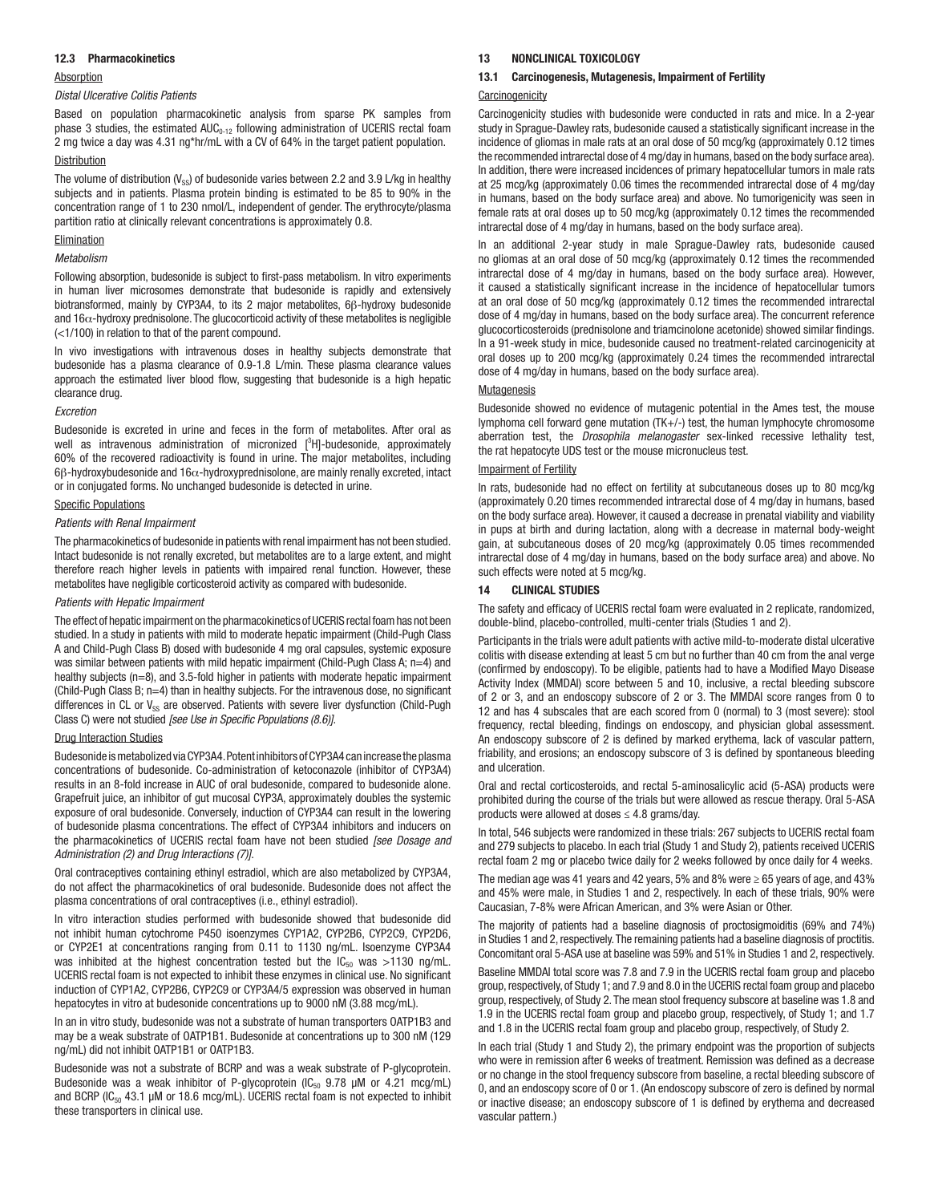#### 12.3 Pharmacokinetics

#### **Absorption**

#### *Distal Ulcerative Colitis Patients*

Based on population pharmacokinetic analysis from sparse PK samples from phase 3 studies, the estimated  $AUC_{0.12}$  following administration of UCERIS rectal foam 2 mg twice a day was 4.31 ng\*hr/mL with a CV of 64% in the target patient population.

#### Distribution

The volume of distribution  $(V_{\rm ss})$  of budesonide varies between 2.2 and 3.9 L/kg in healthy subjects and in patients. Plasma protein binding is estimated to be 85 to 90% in the concentration range of 1 to 230 nmol/L, independent of gender. The erythrocyte/plasma partition ratio at clinically relevant concentrations is approximately 0.8.

#### **Elimination**

#### *Metabolism*

Following absorption, budesonide is subject to first-pass metabolism. In vitro experiments in human liver microsomes demonstrate that budesonide is rapidly and extensively biotransformed, mainly by CYP3A4, to its 2 major metabolites, 6β-hydroxy budesonide and 16α-hydroxy prednisolone. The glucocorticoid activity of these metabolites is negligible (<1/100) in relation to that of the parent compound.

In vivo investigations with intravenous doses in healthy subjects demonstrate that budesonide has a plasma clearance of 0.9-1.8 L/min. These plasma clearance values approach the estimated liver blood flow, suggesting that budesonide is a high hepatic clearance drug.

#### *Excretion*

Budesonide is excreted in urine and feces in the form of metabolites. After oral as well as intravenous administration of micronized  $[^3H]$ -budesonide, approximately 60% of the recovered radioactivity is found in urine. The major metabolites, including 6β-hydroxybudesonide and 16α-hydroxyprednisolone, are mainly renally excreted, intact or in conjugated forms. No unchanged budesonide is detected in urine.

#### Specific Populations

#### *Patients with Renal Impairment*

The pharmacokinetics of budesonide in patients with renal impairment has not been studied. Intact budesonide is not renally excreted, but metabolites are to a large extent, and might therefore reach higher levels in patients with impaired renal function. However, these metabolites have negligible corticosteroid activity as compared with budesonide.

#### *Patients with Hepatic Impairment*

The effect of hepatic impairment on the pharmacokinetics of UCERIS rectal foam has not been studied. In a study in patients with mild to moderate hepatic impairment (Child-Pugh Class A and Child-Pugh Class B) dosed with budesonide 4 mg oral capsules, systemic exposure was similar between patients with mild hepatic impairment (Child-Pugh Class A; n=4) and healthy subjects (n=8), and 3.5-fold higher in patients with moderate hepatic impairment (Child-Pugh Class B; n=4) than in healthy subjects. For the intravenous dose, no significant differences in CL or  $V_{SS}$  are observed. Patients with severe liver dysfunction (Child-Pugh Class C) were not studied *[see Use in Specific Populations (8.6)]*.

#### Drug Interaction Studies

Budesonide is metabolized via CYP3A4. Potent inhibitors of CYP3A4 can increase the plasma concentrations of budesonide. Co-administration of ketoconazole (inhibitor of CYP3A4) results in an 8-fold increase in AUC of oral budesonide, compared to budesonide alone. Grapefruit juice, an inhibitor of gut mucosal CYP3A, approximately doubles the systemic exposure of oral budesonide. Conversely, induction of CYP3A4 can result in the lowering of budesonide plasma concentrations. The effect of CYP3A4 inhibitors and inducers on the pharmacokinetics of UCERIS rectal foam have not been studied *[see Dosage and Administration (2) and Drug Interactions (7)]*.

Oral contraceptives containing ethinyl estradiol, which are also metabolized by CYP3A4, do not affect the pharmacokinetics of oral budesonide. Budesonide does not affect the plasma concentrations of oral contraceptives (i.e., ethinyl estradiol).

In vitro interaction studies performed with budesonide showed that budesonide did not inhibit human cytochrome P450 isoenzymes CYP1A2, CYP2B6, CYP2C9, CYP2D6, or CYP2E1 at concentrations ranging from 0.11 to 1130 ng/mL. Isoenzyme CYP3A4 was inhibited at the highest concentration tested but the  $IC_{50}$  was >1130 ng/mL. UCERIS rectal foam is not expected to inhibit these enzymes in clinical use. No significant induction of CYP1A2, CYP2B6, CYP2C9 or CYP3A4/5 expression was observed in human hepatocytes in vitro at budesonide concentrations up to 9000 nM (3.88 mcg/mL).

In an in vitro study, budesonide was not a substrate of human transporters OATP1B3 and may be a weak substrate of OATP1B1. Budesonide at concentrations up to 300 nM (129 ng/mL) did not inhibit OATP1B1 or OATP1B3.

Budesonide was not a substrate of BCRP and was a weak substrate of P-glycoprotein. Budesonide was a weak inhibitor of P-glycoprotein  $(IC_{50}$  9.78  $\mu$ M or 4.21 mcg/mL) and BCRP ( $IC_{50}$  43.1 µM or 18.6 mcg/mL). UCERIS rectal foam is not expected to inhibit these transporters in clinical use.

#### 13 NONCLINICAL TOXICOLOGY

#### 13.1 Carcinogenesis, Mutagenesis, Impairment of Fertility

#### **Carcinogenicity**

Carcinogenicity studies with budesonide were conducted in rats and mice. In a 2-year study in Sprague-Dawley rats, budesonide caused a statistically significant increase in the incidence of gliomas in male rats at an oral dose of 50 mcg/kg (approximately 0.12 times the recommended intrarectal dose of 4 mg/day in humans, based on the body surface area). In addition, there were increased incidences of primary hepatocellular tumors in male rats at 25 mcg/kg (approximately 0.06 times the recommended intrarectal dose of 4 mg/day in humans, based on the body surface area) and above. No tumorigenicity was seen in female rats at oral doses up to 50 mcg/kg (approximately 0.12 times the recommended intrarectal dose of 4 mg/day in humans, based on the body surface area).

In an additional 2-year study in male Sprague-Dawley rats, budesonide caused no gliomas at an oral dose of 50 mcg/kg (approximately 0.12 times the recommended intrarectal dose of 4 mg/day in humans, based on the body surface area). However, it caused a statistically significant increase in the incidence of hepatocellular tumors at an oral dose of 50 mcg/kg (approximately 0.12 times the recommended intrarectal dose of 4 mg/day in humans, based on the body surface area). The concurrent reference glucocorticosteroids (prednisolone and triamcinolone acetonide) showed similar findings. In a 91-week study in mice, budesonide caused no treatment-related carcinogenicity at oral doses up to 200 mcg/kg (approximately 0.24 times the recommended intrarectal dose of 4 mg/day in humans, based on the body surface area).

#### **Mutagenesis**

Budesonide showed no evidence of mutagenic potential in the Ames test, the mouse lymphoma cell forward gene mutation (TK+/-) test, the human lymphocyte chromosome aberration test, the *Drosophila melanogaster* sex-linked recessive lethality test, the rat hepatocyte UDS test or the mouse micronucleus test.

#### Impairment of Fertility

In rats, budesonide had no effect on fertility at subcutaneous doses up to 80 mcg/kg (approximately 0.20 times recommended intrarectal dose of 4 mg/day in humans, based on the body surface area). However, it caused a decrease in prenatal viability and viability in pups at birth and during lactation, along with a decrease in maternal body-weight gain, at subcutaneous doses of 20 mcg/kg (approximately 0.05 times recommended intrarectal dose of 4 mg/day in humans, based on the body surface area) and above. No such effects were noted at 5 mcg/kg.

#### 14 CLINICAL STUDIES

The safety and efficacy of UCERIS rectal foam were evaluated in 2 replicate, randomized, double-blind, placebo-controlled, multi-center trials (Studies 1 and 2).

Participants in the trials were adult patients with active mild-to-moderate distal ulcerative colitis with disease extending at least 5 cm but no further than 40 cm from the anal verge (confirmed by endoscopy). To be eligible, patients had to have a Modified Mayo Disease Activity Index (MMDAI) score between 5 and 10, inclusive, a rectal bleeding subscore of 2 or 3, and an endoscopy subscore of 2 or 3. The MMDAI score ranges from 0 to 12 and has 4 subscales that are each scored from 0 (normal) to 3 (most severe): stool frequency, rectal bleeding, findings on endoscopy, and physician global assessment. An endoscopy subscore of 2 is defined by marked erythema, lack of vascular pattern, friability, and erosions; an endoscopy subscore of 3 is defined by spontaneous bleeding and ulceration.

Oral and rectal corticosteroids, and rectal 5-aminosalicylic acid (5-ASA) products were prohibited during the course of the trials but were allowed as rescue therapy. Oral 5-ASA products were allowed at doses  $\leq$  4.8 grams/day.

In total, 546 subjects were randomized in these trials: 267 subjects to UCERIS rectal foam and 279 subjects to placebo. In each trial (Study 1 and Study 2), patients received UCERIS rectal foam 2 mg or placebo twice daily for 2 weeks followed by once daily for 4 weeks.

The median age was 41 years and 42 years, 5% and 8% were  $\geq 65$  years of age, and 43% and 45% were male, in Studies 1 and 2, respectively. In each of these trials, 90% were Caucasian, 7-8% were African American, and 3% were Asian or Other.

The majority of patients had a baseline diagnosis of proctosigmoiditis (69% and 74%) in Studies 1 and 2, respectively. The remaining patients had a baseline diagnosis of proctitis. Concomitant oral 5-ASA use at baseline was 59% and 51% in Studies 1 and 2, respectively.

Baseline MMDAI total score was 7.8 and 7.9 in the UCERIS rectal foam group and placebo group, respectively, of Study 1; and 7.9 and 8.0 in the UCERIS rectal foam group and placebo group, respectively, of Study 2. The mean stool frequency subscore at baseline was 1.8 and 1.9 in the UCERIS rectal foam group and placebo group, respectively, of Study 1; and 1.7 and 1.8 in the UCERIS rectal foam group and placebo group, respectively, of Study 2.

In each trial (Study 1 and Study 2), the primary endpoint was the proportion of subjects who were in remission after 6 weeks of treatment. Remission was defined as a decrease or no change in the stool frequency subscore from baseline, a rectal bleeding subscore of 0, and an endoscopy score of 0 or 1. (An endoscopy subscore of zero is defined by normal or inactive disease; an endoscopy subscore of 1 is defined by erythema and decreased vascular pattern.)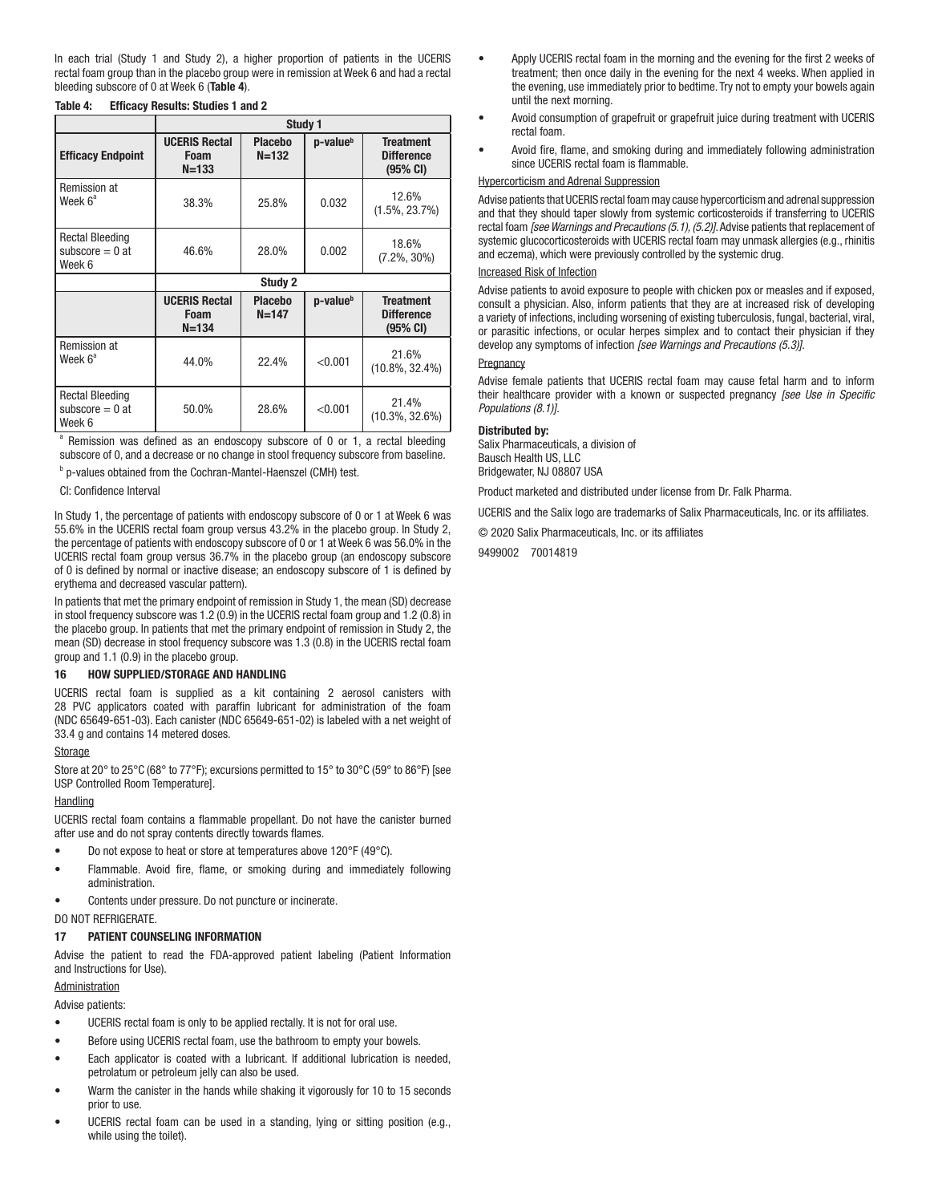In each trial (Study 1 and Study 2), a higher proportion of patients in the UCERIS rectal foam group than in the placebo group were in remission at Week 6 and had a rectal bleeding subscore of 0 at Week 6 (Table 4).

|                                                       | Study 1                                   |                             |                      |                                                             |
|-------------------------------------------------------|-------------------------------------------|-----------------------------|----------------------|-------------------------------------------------------------|
| <b>Efficacy Endpoint</b>                              | <b>UCERIS Rectal</b><br>Foam<br>$N = 133$ | <b>Placebo</b><br>$N = 132$ | p-value <sup>b</sup> | <b>Treatment</b><br><b>Difference</b><br>$(95% \text{ CI})$ |
| Remission at<br>Week 6 <sup>a</sup>                   | 38.3%                                     | 25.8%                       | 0.032                | 12.6%<br>$(1.5\%, 23.7\%)$                                  |
| <b>Rectal Bleeding</b><br>subscore $= 0$ at<br>Week 6 | 46.6%                                     | 28.0%                       | 0.002                | 18.6%<br>$(7.2\%, 30\%)$                                    |
|                                                       | Study 2                                   |                             |                      |                                                             |
|                                                       | <b>UCERIS Rectal</b><br>Foam<br>$N = 134$ | <b>Placebo</b><br>$N = 147$ | p-value <sup>b</sup> | <b>Treatment</b><br><b>Difference</b><br>(95% CI)           |
| <b>Remission at</b><br>Week 6 <sup>a</sup>            | 44.0%                                     | 22.4%                       | < 0.001              | 21.6%<br>$(10.8\%, 32.4\%)$                                 |
| <b>Rectal Bleeding</b><br>subscore $= 0$ at<br>Week 6 | 50.0%                                     | 28.6%                       | < 0.001              | 21.4%<br>$(10.3\%, 32.6\%)$                                 |

#### Table 4: Efficacy Results: Studies 1 and 2

<sup>a</sup> Remission was defined as an endoscopy subscore of 0 or 1, a rectal bleeding subscore of 0, and a decrease or no change in stool frequency subscore from baseline.

<sup>b</sup> p-values obtained from the Cochran-Mantel-Haenszel (CMH) test.

CI: Confidence Interval

In Study 1, the percentage of patients with endoscopy subscore of 0 or 1 at Week 6 was 55.6% in the UCERIS rectal foam group versus 43.2% in the placebo group. In Study 2, the percentage of patients with endoscopy subscore of 0 or 1 at Week 6 was 56.0% in the UCERIS rectal foam group versus 36.7% in the placebo group (an endoscopy subscore of 0 is defined by normal or inactive disease; an endoscopy subscore of 1 is defined by erythema and decreased vascular pattern).

In patients that met the primary endpoint of remission in Study 1, the mean (SD) decrease in stool frequency subscore was 1.2 (0.9) in the UCERIS rectal foam group and 1.2 (0.8) in the placebo group. In patients that met the primary endpoint of remission in Study 2, the mean (SD) decrease in stool frequency subscore was 1.3 (0.8) in the UCERIS rectal foam group and 1.1 (0.9) in the placebo group.

#### 16 HOW SUPPLIED/STORAGE AND HANDLING

UCERIS rectal foam is supplied as a kit containing 2 aerosol canisters with 28 PVC applicators coated with paraffin lubricant for administration of the foam (NDC 65649-651-03). Each canister (NDC 65649-651-02) is labeled with a net weight of 33.4 g and contains 14 metered doses.

#### Storage

Store at 20° to 25°C (68° to 77°F); excursions permitted to 15° to 30°C (59° to 86°F) [see USP Controlled Room Temperature].

#### **Handling**

UCERIS rectal foam contains a flammable propellant. Do not have the canister burned after use and do not spray contents directly towards flames.

- Do not expose to heat or store at temperatures above 120°F (49°C).
- Flammable. Avoid fire, flame, or smoking during and immediately following administration.
- Contents under pressure. Do not puncture or incinerate.

#### DO NOT REFRIGERATE.

#### 17 PATIENT COUNSELING INFORMATION

Advise the patient to read the FDA-approved patient labeling (Patient Information and Instructions for Use).

#### Administration

Advise patients:

- UCERIS rectal foam is only to be applied rectally. It is not for oral use.
- Before using UCERIS rectal foam, use the bathroom to empty your bowels.
- Each applicator is coated with a lubricant. If additional lubrication is needed, petrolatum or petroleum jelly can also be used.
- Warm the canister in the hands while shaking it vigorously for 10 to 15 seconds prior to use.
- UCERIS rectal foam can be used in a standing, lying or sitting position (e.g., while using the toilet).
- Apply UCERIS rectal foam in the morning and the evening for the first 2 weeks of treatment; then once daily in the evening for the next 4 weeks. When applied in the evening, use immediately prior to bedtime. Try not to empty your bowels again until the next morning.
- Avoid consumption of grapefruit or grapefruit juice during treatment with UCERIS rectal foam.
- Avoid fire, flame, and smoking during and immediately following administration since UCERIS rectal foam is flammable.

#### Hypercorticism and Adrenal Suppression

Advise patients that UCERIS rectal foam may cause hypercorticism and adrenal suppression and that they should taper slowly from systemic corticosteroids if transferring to UCERIS rectal foam *[see Warnings and Precautions (5.1), (5.2)]*. Advise patients that replacement of systemic glucocorticosteroids with UCERIS rectal foam may unmask allergies (e.g., rhinitis and eczema), which were previously controlled by the systemic drug.

## Increased Risk of Infection

Advise patients to avoid exposure to people with chicken pox or measles and if exposed, consult a physician. Also, inform patients that they are at increased risk of developing a variety of infections, including worsening of existing tuberculosis, fungal, bacterial, viral, or parasitic infections, or ocular herpes simplex and to contact their physician if they develop any symptoms of infection *[see Warnings and Precautions (5.3)]*.

#### **Pregnancy**

Advise female patients that UCERIS rectal foam may cause fetal harm and to inform their healthcare provider with a known or suspected pregnancy *[see Use in Specific Populations (8.1)]*.

#### Distributed by:

Salix Pharmaceuticals, a division of Bausch Health US, LLC Bridgewater, NJ 08807 USA

Product marketed and distributed under license from Dr. Falk Pharma.

UCERIS and the Salix logo are trademarks of Salix Pharmaceuticals, Inc. or its affiliates.

© 2020 Salix Pharmaceuticals, Inc. or its affiliates

9499002 70014819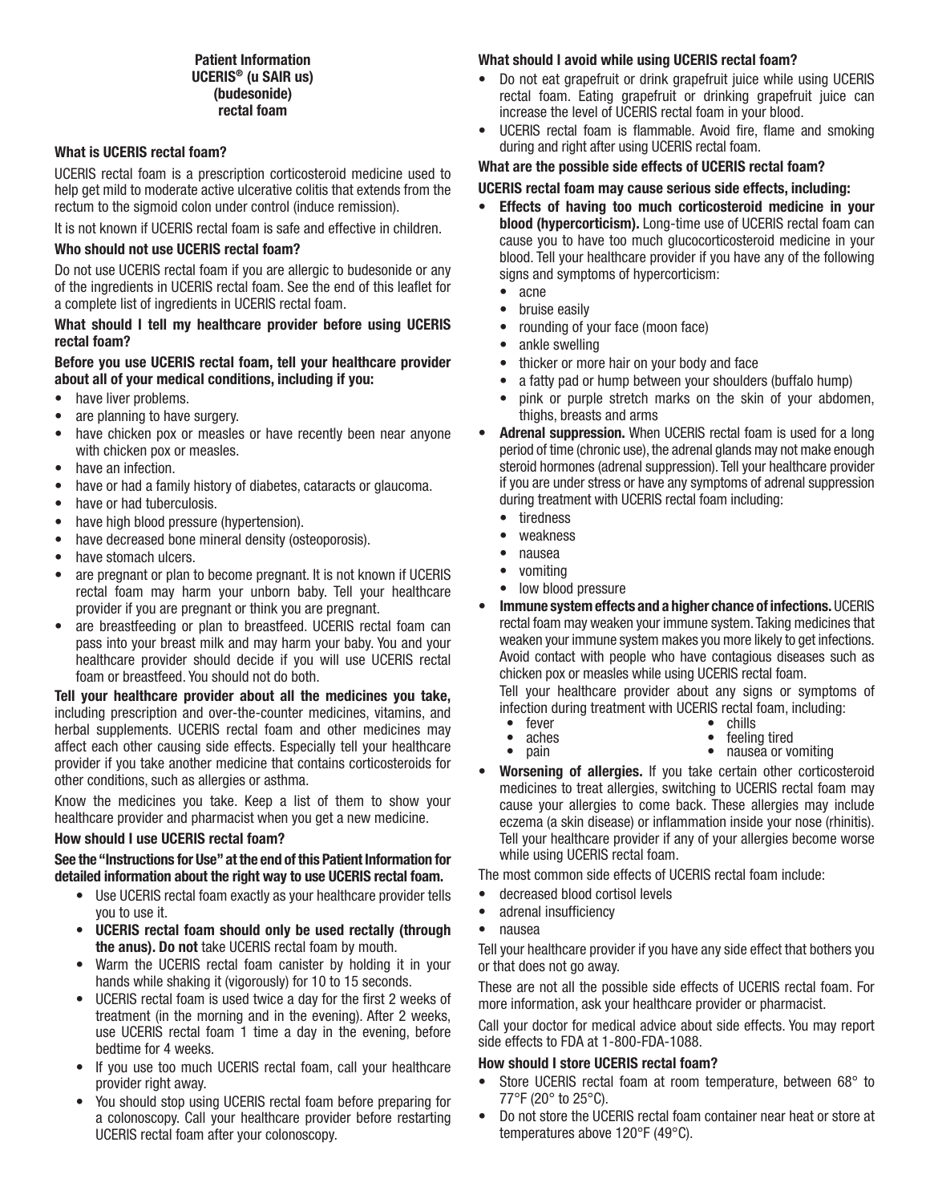## Patient Information UCERIS® (u SAIR us) (budesonide) rectal foam

## What is UCERIS rectal foam?

UCERIS rectal foam is a prescription corticosteroid medicine used to help get mild to moderate active ulcerative colitis that extends from the rectum to the sigmoid colon under control (induce remission).

It is not known if UCERIS rectal foam is safe and effective in children.

## Who should not use UCERIS rectal foam?

Do not use UCERIS rectal foam if you are allergic to budesonide or any of the ingredients in UCERIS rectal foam. See the end of this leaflet for a complete list of ingredients in UCERIS rectal foam.

## What should I tell my healthcare provider before using UCERIS rectal foam?

## Before you use UCERIS rectal foam, tell your healthcare provider about all of your medical conditions, including if you:

- have liver problems.
- are planning to have surgery.
- have chicken pox or measles or have recently been near anyone with chicken pox or measles.
- have an infection.
- have or had a family history of diabetes, cataracts or glaucoma.
- have or had tuberculosis.
- have high blood pressure (hypertension).
- have decreased bone mineral density (osteoporosis).
- have stomach ulcers.
- are pregnant or plan to become pregnant. It is not known if UCERIS rectal foam may harm your unborn baby. Tell your healthcare provider if you are pregnant or think you are pregnant.
- are breastfeeding or plan to breastfeed. UCERIS rectal foam can pass into your breast milk and may harm your baby. You and your healthcare provider should decide if you will use UCERIS rectal foam or breastfeed. You should not do both.

## Tell your healthcare provider about all the medicines you take, including prescription and over-the-counter medicines, vitamins, and herbal supplements. UCERIS rectal foam and other medicines may affect each other causing side effects. Especially tell your healthcare provider if you take another medicine that contains corticosteroids for other conditions, such as allergies or asthma.

Know the medicines you take. Keep a list of them to show your healthcare provider and pharmacist when you get a new medicine.

## How should I use UCERIS rectal foam?

## See the "Instructions for Use" at the end of this Patient Information for detailed information about the right way to use UCERIS rectal foam.

- Use UCERIS rectal foam exactly as your healthcare provider tells you to use it.
- UCERIS rectal foam should only be used rectally (through the anus). Do not take UCERIS rectal foam by mouth.
- Warm the UCERIS rectal foam canister by holding it in your hands while shaking it (vigorously) for 10 to 15 seconds.
- UCERIS rectal foam is used twice a day for the first 2 weeks of treatment (in the morning and in the evening). After 2 weeks, use UCERIS rectal foam 1 time a day in the evening, before bedtime for 4 weeks.
- If you use too much UCERIS rectal foam, call your healthcare provider right away.
- You should stop using UCERIS rectal foam before preparing for a colonoscopy. Call your healthcare provider before restarting UCERIS rectal foam after your colonoscopy.

## What should I avoid while using UCERIS rectal foam?

- Do not eat grapefruit or drink grapefruit juice while using UCERIS rectal foam. Eating grapefruit or drinking grapefruit juice can increase the level of UCERIS rectal foam in your blood.
- UCERIS rectal foam is flammable. Avoid fire, flame and smoking during and right after using UCERIS rectal foam.

## What are the possible side effects of UCERIS rectal foam?

## UCERIS rectal foam may cause serious side effects, including:

- Effects of having too much corticosteroid medicine in your blood (hypercorticism). Long-time use of UCERIS rectal foam can cause you to have too much glucocorticosteroid medicine in your blood. Tell your healthcare provider if you have any of the following signs and symptoms of hypercorticism:
	- acne
	- bruise easily
	- rounding of your face (moon face)
	- ankle swelling
	- thicker or more hair on your body and face
	- a fatty pad or hump between your shoulders (buffalo hump)
	- pink or purple stretch marks on the skin of your abdomen, thighs, breasts and arms
- Adrenal suppression. When UCERIS rectal foam is used for a long period of time (chronic use), the adrenal glands may not make enough steroid hormones (adrenal suppression). Tell your healthcare provider if you are under stress or have any symptoms of adrenal suppression during treatment with UCERIS rectal foam including:
	- tiredness
	- weakness
	- nausea
	- vomiting
	- low blood pressure
- Immune system effects and a higher chance of infections. UCERIS rectal foam may weaken your immune system. Taking medicines that weaken your immune system makes you more likely to get infections. Avoid contact with people who have contagious diseases such as chicken pox or measles while using UCERIS rectal foam.

Tell your healthcare provider about any signs or symptoms of infection during treatment with UCERIS rectal foam, including:

- 
- 
- fever chills<br>• aches feeling tired<br>• pain nausea or vomiting
- Worsening of allergies. If you take certain other corticosteroid medicines to treat allergies, switching to UCERIS rectal foam may cause your allergies to come back. These allergies may include eczema (a skin disease) or inflammation inside your nose (rhinitis). Tell your healthcare provider if any of your allergies become worse while using UCERIS rectal foam.

The most common side effects of UCERIS rectal foam include:

- decreased blood cortisol levels
- adrenal insufficiency
- nausea

Tell your healthcare provider if you have any side effect that bothers you or that does not go away.

These are not all the possible side effects of UCERIS rectal foam. For more information, ask your healthcare provider or pharmacist.

Call your doctor for medical advice about side effects. You may report side effects to FDA at 1-800-FDA-1088.

## How should I store UCERIS rectal foam?

- Store UCERIS rectal foam at room temperature, between 68° to 77°F (20° to 25°C).
- Do not store the UCERIS rectal foam container near heat or store at temperatures above 120°F (49°C).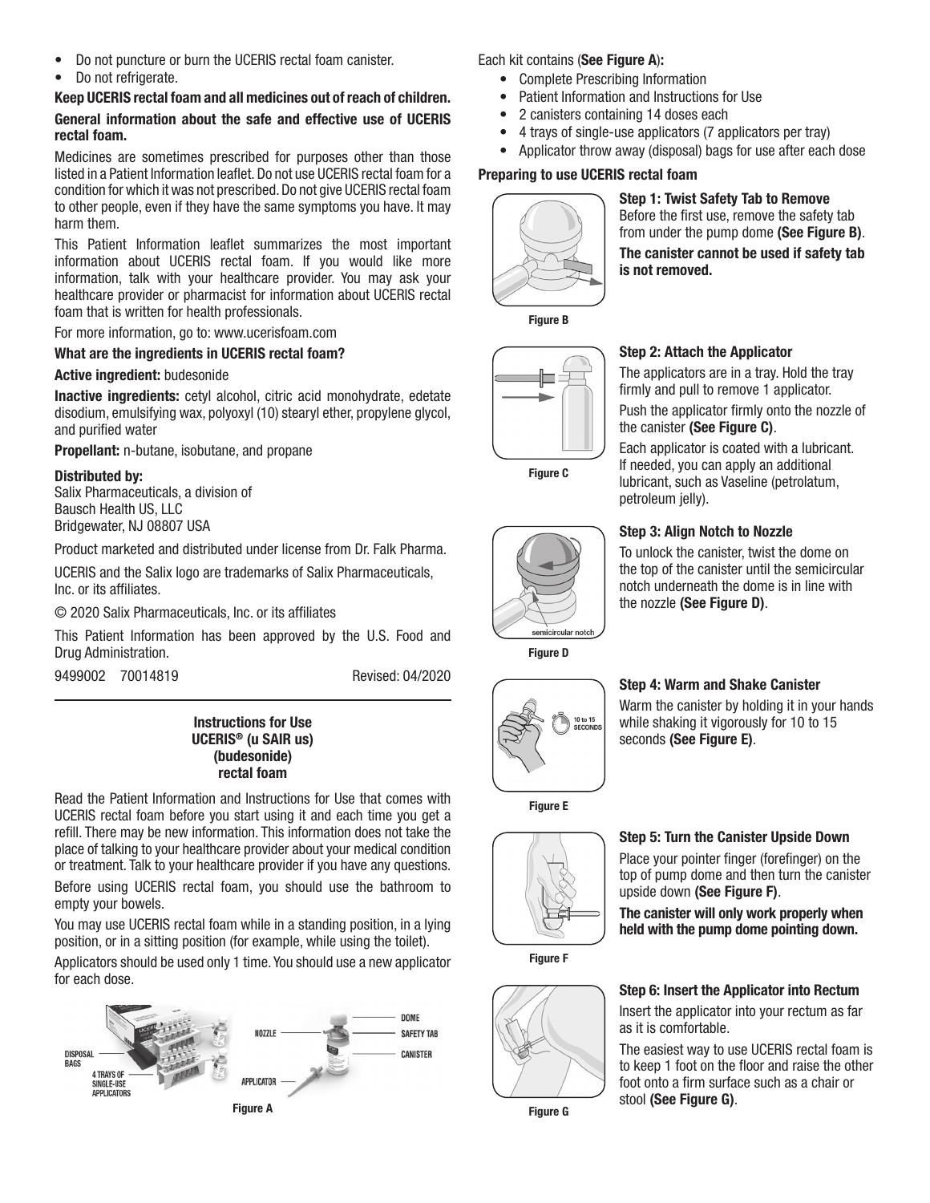- Do not puncture or burn the UCERIS rectal foam canister.
- Do not refrigerate.

## Keep UCERIS rectal foam and all medicines out of reach of children. General information about the safe and effective use of UCERIS rectal foam.

Medicines are sometimes prescribed for purposes other than those listed in a Patient Information leaflet. Do not use UCERIS rectal foam for a condition for which it was not prescribed. Do not give UCERIS rectal foam to other people, even if they have the same symptoms you have. It may harm them.

This Patient Information leaflet summarizes the most important information about UCERIS rectal foam. If you would like more information, talk with your healthcare provider. You may ask your healthcare provider or pharmacist for information about UCERIS rectal foam that is written for health professionals.

For more information, go to: www.ucerisfoam.com

## What are the ingredients in UCERIS rectal foam?

## Active ingredient: budesonide

Inactive ingredients: cetyl alcohol, citric acid monohydrate, edetate disodium, emulsifying wax, polyoxyl (10) stearyl ether, propylene glycol, and purified water

Propellant: n-butane, isobutane, and propane

## Distributed by:

Salix Pharmaceuticals, a division of Bausch Health US, LLC Bridgewater, NJ 08807 USA

Product marketed and distributed under license from Dr. Falk Pharma.

UCERIS and the Salix logo are trademarks of Salix Pharmaceuticals, Inc. or its affiliates.

© 2020 Salix Pharmaceuticals, Inc. or its affiliates

This Patient Information has been approved by the U.S. Food and Drug Administration.

9499002 70014819 Revised: 04/2020

## Instructions for Use UCERIS® (u SAIR us) (budesonide) rectal foam

Read the Patient Information and Instructions for Use that comes with UCERIS rectal foam before you start using it and each time you get a refill. There may be new information. This information does not take the place of talking to your healthcare provider about your medical condition or treatment. Talk to your healthcare provider if you have any questions.

Before using UCERIS rectal foam, you should use the bathroom to empty your bowels.

You may use UCERIS rectal foam while in a standing position, in a lying position, or in a sitting position (for example, while using the toilet).

Applicators should be used only 1 time. You should use a new applicator for each dose.



Each kit contains (See Figure A):

- Complete Prescribing Information
- Patient Information and Instructions for Use
- 2 canisters containing 14 doses each
- 4 trays of single-use applicators (7 applicators per tray)
- Applicator throw away (disposal) bags for use after each dose

## Preparing to use UCERIS rectal foam



Step 1: Twist Safety Tab to Remove Before the first use, remove the safety tab from under the pump dome (See Figure B). The canister cannot be used if safety tab is not removed.

Figure B



Figure C

## Step 2: Attach the Applicator

The applicators are in a tray. Hold the tray firmly and pull to remove 1 applicator. Push the applicator firmly onto the nozzle of the canister (See Figure C).

Each applicator is coated with a lubricant. If needed, you can apply an additional lubricant, such as Vaseline (petrolatum, petroleum jelly).

## Step 3: Align Notch to Nozzle

To unlock the canister, twist the dome on the top of the canister until the semicircular notch underneath the dome is in line with the nozzle (See Figure D).



Figure D

.<br>⊪icircular notch

## Step 4: Warm and Shake Canister

Warm the canister by holding it in your hands while shaking it vigorously for 10 to 15 seconds (See Figure E).

Figure E



Figure F



## upside down (See Figure F). The canister will only work properly when

Step 5: Turn the Canister Upside Down Place your pointer finger (forefinger) on the top of pump dome and then turn the canister

held with the pump dome pointing down.



## Step 6: Insert the Applicator into Rectum Insert the applicator into your rectum as far as it is comfortable.

The easiest way to use UCERIS rectal foam is to keep 1 foot on the floor and raise the other foot onto a firm surface such as a chair or stool (See Figure G).

Figure G